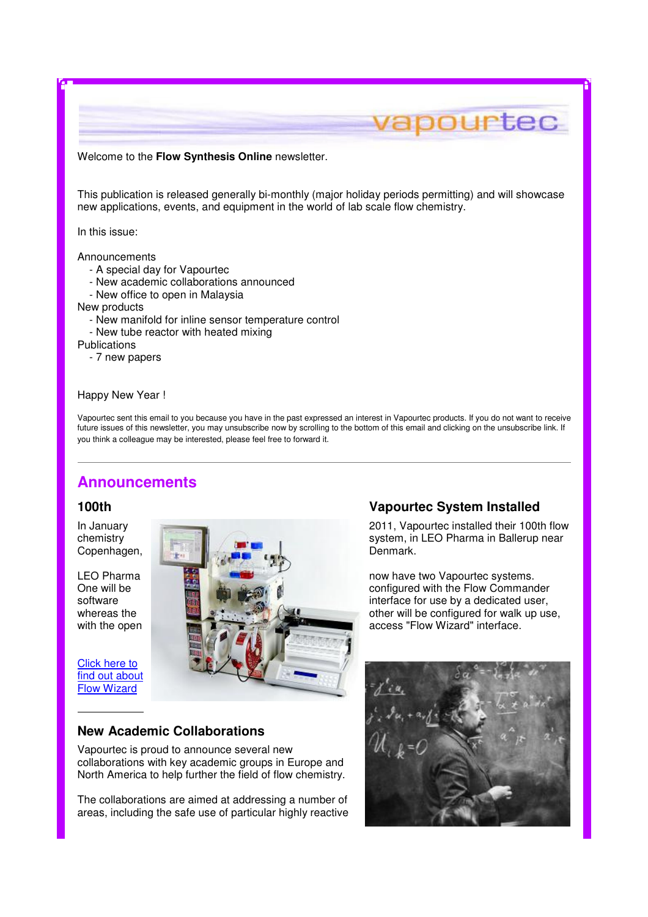#### Welcome to the **Flow Synthesis Online** newsletter.

This publication is released generally bi-monthly (major holiday periods permitting) and will showcase new applications, events, and equipment in the world of lab scale flow chemistry.

In this issue:

**Announcements** 

- A special day for Vapourtec
- New academic collaborations announced
- New office to open in Malaysia

New products

- New manifold for inline sensor temperature control
- New tube reactor with heated mixing

**Publications** 

- 7 new papers

#### Happy New Year !

Vapourtec sent this email to you because you have in the past expressed an interest in Vapourtec products. If you do not want to receive future issues of this newsletter, you may unsubscribe now by scrolling to the bottom of this email and clicking on the unsubscribe link. If you think a colleague may be interested, please feel free to forward it.

# **Announcements**

Click here to find out about Flow Wizard



## **New Academic Collaborations**

Vapourtec is proud to announce several new collaborations with key academic groups in Europe and North America to help further the field of flow chemistry.

The collaborations are aimed at addressing a number of areas, including the safe use of particular highly reactive

### **100th Vapourtec System Installed**

vapourtec

interface for use by a dedicated user,

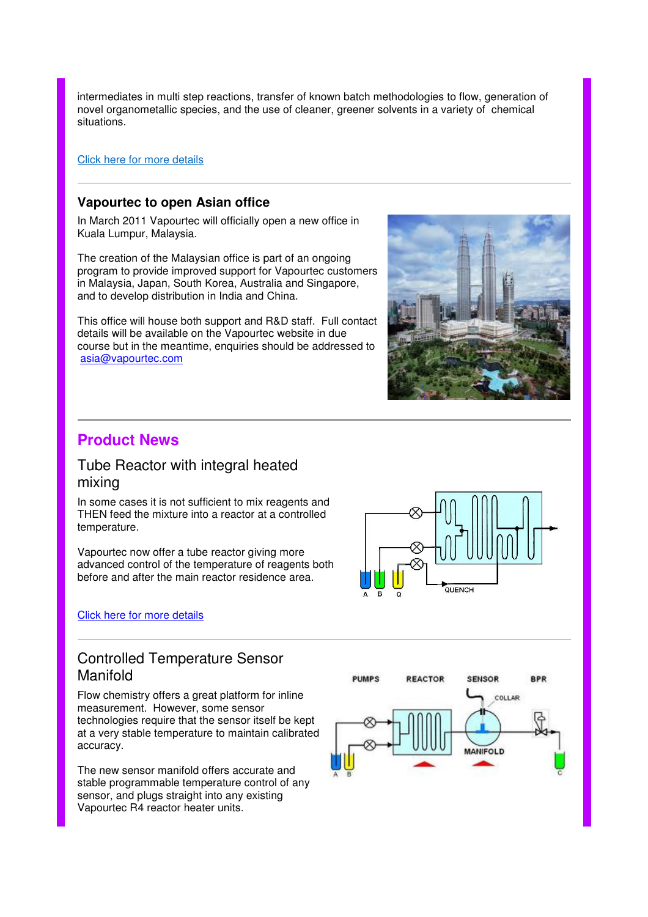intermediates in multi step reactions, transfer of known batch methodologies to flow, generation of novel organometallic species, and the use of cleaner, greener solvents in a variety of chemical situations.

#### Click here for more details

## **Vapourtec to open Asian office**

In March 2011 Vapourtec will officially open a new office in Kuala Lumpur, Malaysia.

The creation of the Malaysian office is part of an ongoing program to provide improved support for Vapourtec customers in Malaysia, Japan, South Korea, Australia and Singapore, and to develop distribution in India and China.

This office will house both support and R&D staff. Full contact details will be available on the Vapourtec website in due course but in the meantime, enquiries should be addressed to asia@vapourtec.com



# **Product News**

# Tube Reactor with integral heated mixing

In some cases it is not sufficient to mix reagents and THEN feed the mixture into a reactor at a controlled temperature.

Vapourtec now offer a tube reactor giving more advanced control of the temperature of reagents both before and after the main reactor residence area.

### Click here for more details



# Controlled Temperature Sensor Manifold

Flow chemistry offers a great platform for inline measurement. However, some sensor technologies require that the sensor itself be kept at a very stable temperature to maintain calibrated accuracy.

The new sensor manifold offers accurate and stable programmable temperature control of any sensor, and plugs straight into any existing Vapourtec R4 reactor heater units.

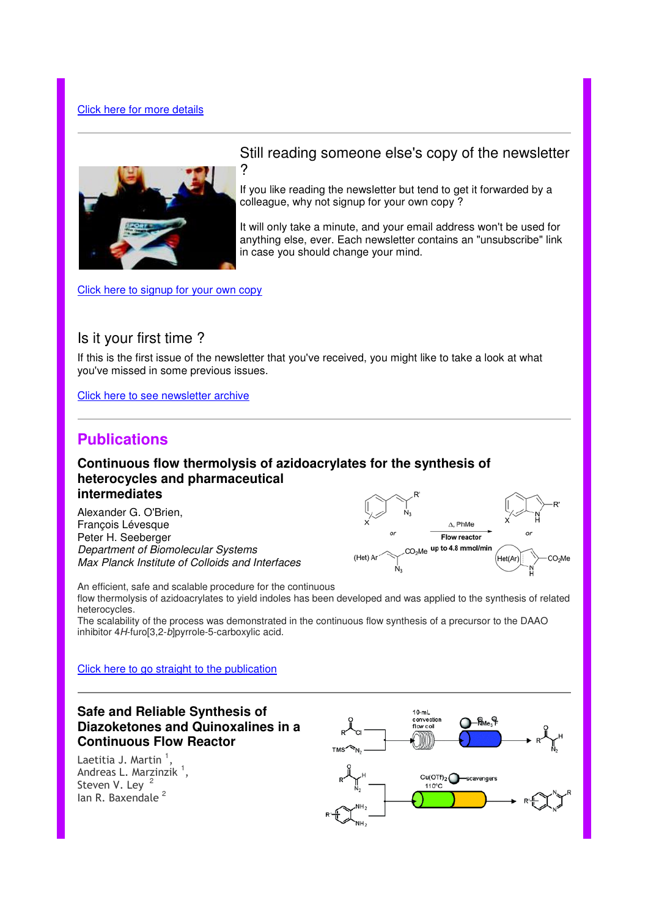#### Click here for more details



## Still reading someone else's copy of the newsletter ?

If you like reading the newsletter but tend to get it forwarded by a colleague, why not signup for your own copy ?

It will only take a minute, and your email address won't be used for anything else, ever. Each newsletter contains an "unsubscribe" link in case you should change your mind.

Click here to signup for your own copy

## Is it your first time ?

If this is the first issue of the newsletter that you've received, you might like to take a look at what you've missed in some previous issues.

Click here to see newsletter archive

# **Publications**

## **Continuous flow thermolysis of azidoacrylates for the synthesis of heterocycles and pharmaceutical intermediates**

Alexander G. O'Brien, François Lévesque Peter H. Seeberger Department of Biomolecular Systems Max Planck Institute of Colloids and Interfaces



An efficient, safe and scalable procedure for the continuous flow thermolysis of azidoacrylates to yield indoles has been developed and was applied to the synthesis of related heterocycles.

The scalability of the process was demonstrated in the continuous flow synthesis of a precursor to the DAAO inhibitor 4H-furo[3,2-b]pyrrole-5-carboxylic acid.

#### Click here to go straight to the publication

# **Safe and Reliable Synthesis of Diazoketones and Quinoxalines in a Continuous Flow Reactor**

Laetitia J. Martin  $^1,$ Andreas L. Marzinzik <sup>1</sup>, Steven V. Ley 2 lan R. Baxendale<sup>2</sup>

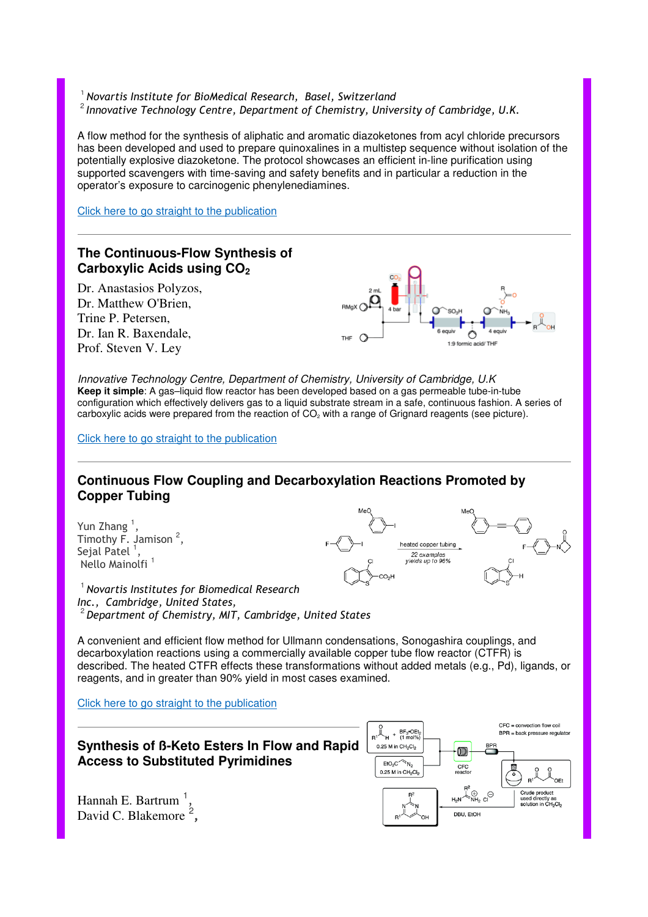<sup>1</sup> Novartis Institute for BioMedical Research, Basel, Switzerland  $2$  Innovative Technology Centre, Department of Chemistry, University of Cambridge, U.K.

A flow method for the synthesis of aliphatic and aromatic diazoketones from acyl chloride precursors has been developed and used to prepare quinoxalines in a multistep sequence without isolation of the potentially explosive diazoketone. The protocol showcases an efficient in-line purification using supported scavengers with time-saving and safety benefits and in particular a reduction in the operator's exposure to carcinogenic phenylenediamines.

Click here to go straight to the publication



Innovative Technology Centre, Department of Chemistry, University of Cambridge, U.K **Keep it simple**: A gas–liquid flow reactor has been developed based on a gas permeable tube-in-tube configuration which effectively delivers gas to a liquid substrate stream in a safe, continuous fashion. A series of carboxylic acids were prepared from the reaction of CO<sub>2</sub> with a range of Grignard reagents (see picture).

Click here to go straight to the publication

## **Continuous Flow Coupling and Decarboxylation Reactions Promoted by Copper Tubing**

Yun Zhang<sup>1</sup> , Timothy  $\overline{F}$ . Jamison<sup>2</sup>, Sejal Patel  $<sup>1</sup>$ ,</sup> Nello Mainolfi<sup>1</sup>

ted copper tubing 22 examples<br>yields up to 96%

 $<sup>1</sup>$  Novartis Institutes for Biomedical Research</sup> Inc., Cambridge, United States,  $^{\rm 2}$  Department of Chemistry, MIT, Cambridge, United States

A convenient and efficient flow method for Ullmann condensations, Sonogashira couplings, and decarboxylation reactions using a commercially available copper tube flow reactor (CTFR) is described. The heated CTFR effects these transformations without added metals (e.g., Pd), ligands, or reagents, and in greater than 90% yield in most cases examined.

Click here to go straight to the publication

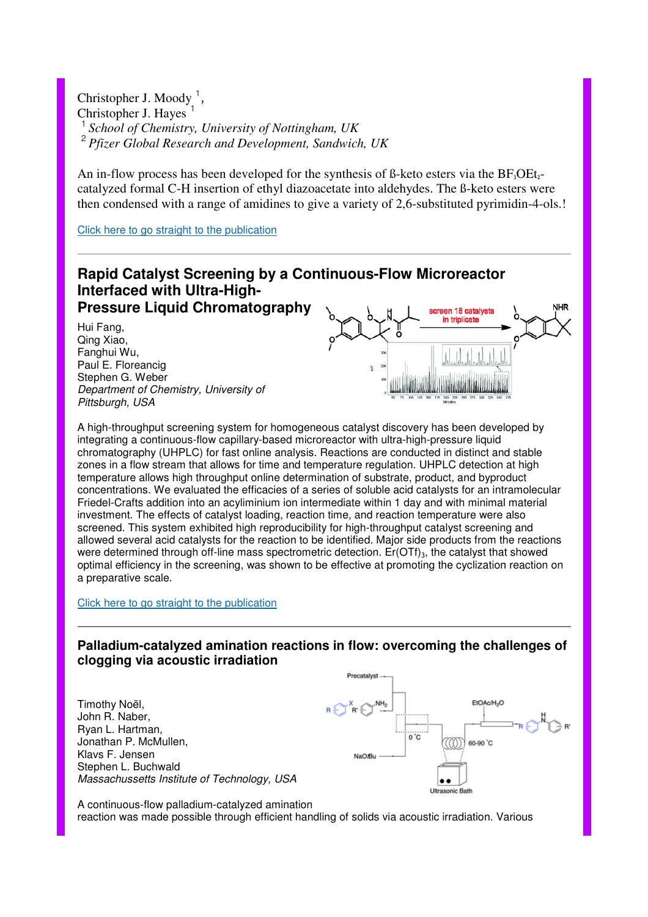Christopher J. Moody<sup>1</sup> , Christopher J. Hayes <sup>1</sup>*School of Chemistry, University of Nottingham, UK* 2 *Pfizer Global Research and Development, Sandwich, UK*

An in-flow process has been developed for the synthesis of  $\beta$ -keto esters via the  $BF_3OEt_2$ catalyzed formal C-H insertion of ethyl diazoacetate into aldehydes. The ß-keto esters were then condensed with a range of amidines to give a variety of 2,6-substituted pyrimidin-4-ols.!

Click here to go straight to the publication



A high-throughput screening system for homogeneous catalyst discovery has been developed by integrating a continuous-flow capillary-based microreactor with ultra-high-pressure liquid chromatography (UHPLC) for fast online analysis. Reactions are conducted in distinct and stable zones in a flow stream that allows for time and temperature regulation. UHPLC detection at high temperature allows high throughput online determination of substrate, product, and byproduct concentrations. We evaluated the efficacies of a series of soluble acid catalysts for an intramolecular Friedel-Crafts addition into an acyliminium ion intermediate within 1 day and with minimal material investment. The effects of catalyst loading, reaction time, and reaction temperature were also screened. This system exhibited high reproducibility for high-throughput catalyst screening and allowed several acid catalysts for the reaction to be identified. Major side products from the reactions were determined through off-line mass spectrometric detection.  $E<sub>r</sub>(OTf)<sub>3</sub>$ , the catalyst that showed optimal efficiency in the screening, was shown to be effective at promoting the cyclization reaction on a preparative scale.

#### Click here to go straight to the publication

## **Palladium-catalyzed amination reactions in flow: overcoming the challenges of clogging via acoustic irradiation**

Precatalyst



A continuous-flow palladium-catalyzed amination reaction was made possible through efficient handling of solids via acoustic irradiation. Various